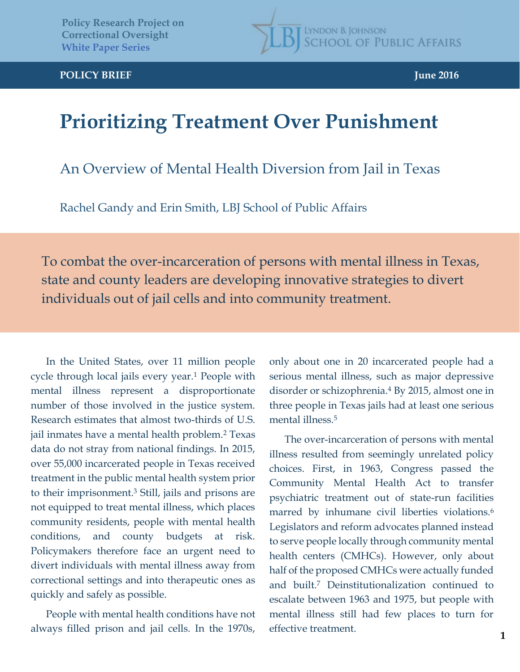**LYNDON B. JOHNSON SCHOOL OF PUBLIC AFFAIRS** 

## **Prioritizing Treatment Over Punishment**

An Overview of Mental Health Diversion from Jail in Texas

Rachel Gandy and Erin Smith, LBJ School of Public Affairs

To combat the over-incarceration of persons with mental illness in Texas, state and county leaders are developing innovative strategies to divert individuals out of jail cells and into community treatment.

In the United States, over 11 million people cycle through local jails every year.<sup>1</sup> People with mental illness represent a disproportionate number of those involved in the justice system. Research estimates that almost two-thirds of U.S. jail inmates have a mental health problem.<sup>2</sup> Texas data do not stray from national findings. In 2015, over 55,000 incarcerated people in Texas received treatment in the public mental health system prior to their imprisonment.3 Still, jails and prisons are not equipped to treat mental illness, which places community residents, people with mental health conditions, and county budgets at risk. Policymakers therefore face an urgent need to divert individuals with mental illness away from correctional settings and into therapeutic ones as quickly and safely as possible.

People with mental health conditions have not always filled prison and jail cells. In the 1970s,

only about one in 20 incarcerated people had a serious mental illness, such as major depressive disorder or schizophrenia.4 By 2015, almost one in three people in Texas jails had at least one serious mental illness.<sup>5</sup>

The over-incarceration of persons with mental illness resulted from seemingly unrelated policy choices. First, in 1963, Congress passed the Community Mental Health Act to transfer psychiatric treatment out of state-run facilities marred by inhumane civil liberties violations.<sup>6</sup> Legislators and reform advocates planned instead to serve people locally through community mental health centers (CMHCs). However, only about half of the proposed CMHCs were actually funded and built.7 Deinstitutionalization continued to escalate between 1963 and 1975, but people with mental illness still had few places to turn for effective treatment.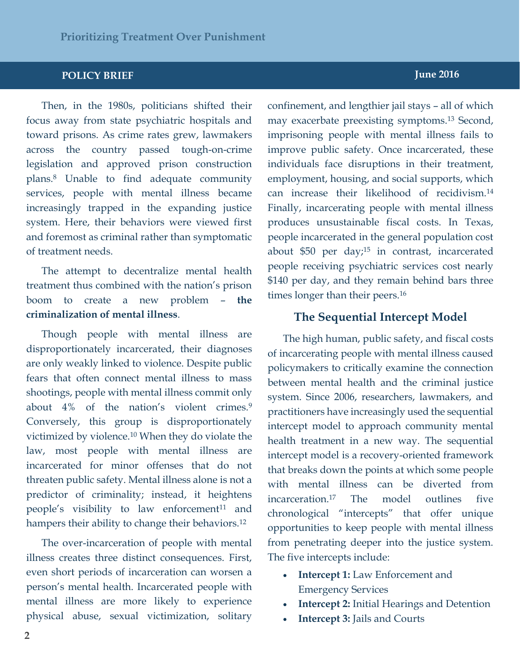#### **POLICY BRIEF June 2016 POLICY BRIEF June 2016**

Then, in the 1980s, politicians shifted their focus away from state psychiatric hospitals and toward prisons. As crime rates grew, lawmakers across the country passed tough-on-crime legislation and approved prison construction plans.8 Unable to find adequate community services, people with mental illness became increasingly trapped in the expanding justice system. Here, their behaviors were viewed first and foremost as criminal rather than symptomatic of treatment needs.

The attempt to decentralize mental health treatment thus combined with the nation's prison boom to create a new problem – **the criminalization of mental illness**.

Though people with mental illness are disproportionately incarcerated, their diagnoses are only weakly linked to violence. Despite public fears that often connect mental illness to mass shootings, people with mental illness commit only about 4% of the nation's violent crimes.<sup>9</sup> Conversely, this group is disproportionately victimized by violence.10 When they do violate the law, most people with mental illness are incarcerated for minor offenses that do not threaten public safety. Mental illness alone is not a predictor of criminality; instead, it heightens people's visibility to law enforcement<sup>11</sup> and hampers their ability to change their behaviors.12

The over-incarceration of people with mental illness creates three distinct consequences. First, even short periods of incarceration can worsen a person's mental health. Incarcerated people with mental illness are more likely to experience physical abuse, sexual victimization, solitary

### confinement, and lengthier jail stays – all of which may exacerbate preexisting symptoms.13 Second, imprisoning people with mental illness fails to improve public safety. Once incarcerated, these individuals face disruptions in their treatment, employment, housing, and social supports, which can increase their likelihood of recidivism.14 Finally, incarcerating people with mental illness produces unsustainable fiscal costs. In Texas, people incarcerated in the general population cost about \$50 per day;<sup>15</sup> in contrast, incarcerated people receiving psychiatric services cost nearly \$140 per day, and they remain behind bars three

#### **The Sequential Intercept Model**

times longer than their peers.<sup>16</sup>

The high human, public safety, and fiscal costs of incarcerating people with mental illness caused policymakers to critically examine the connection between mental health and the criminal justice system. Since 2006, researchers, lawmakers, and practitioners have increasingly used the sequential intercept model to approach community mental health treatment in a new way. The sequential intercept model is a recovery-oriented framework that breaks down the points at which some people with mental illness can be diverted from incarceration.17 The model outlines five chronological "intercepts" that offer unique opportunities to keep people with mental illness from penetrating deeper into the justice system. The five intercepts include:

- **Intercept 1:** Law Enforcement and Emergency Services
- x **Intercept 2:** Initial Hearings and Detention
- x **Intercept 3:** Jails and Courts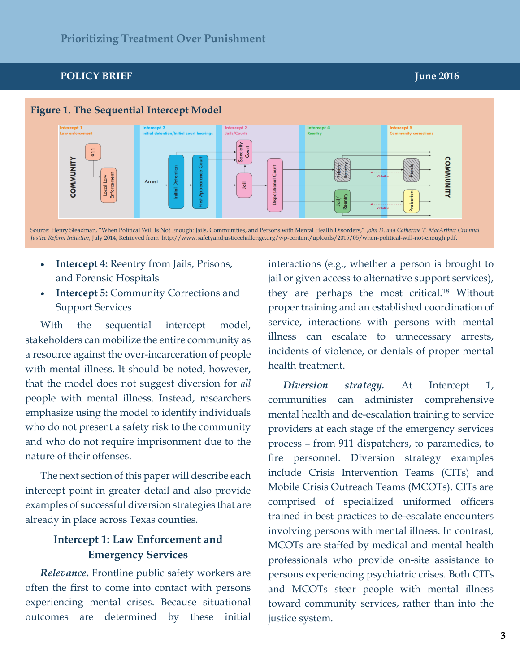**Figure 1. The Sequential Intercept Model Intercept 1**<br>Law enforce **Intercept 3**<br>Jails/Courts ntercept 5 Specialty Court  $911$ COMMUNITY **COMMUNITY** Court Arrest Dispositional 同

Source: Henry Steadman, "When Political Will Is Not Enough: Jails, Communities, and Persons with Mental Health Disorders," *John D. and Catherine T. MacArthur Criminal Justice Reform Initiative*, July 2014, Retrieved from [http://www.safetyandjusticechallenge.org/wp-content/uploads/2015/05/when-political-will-not-enough.pdf.](http://www.safetyandjusticechallenge.org/wp-content/uploads/2015/05/when-political-will-not-enough.pdf) 

- x **Intercept 4:** Reentry from Jails, Prisons, and Forensic Hospitals
- **Intercept 5: Community Corrections and** Support Services

With the sequential intercept model, stakeholders can mobilize the entire community as a resource against the over-incarceration of people with mental illness. It should be noted, however, that the model does not suggest diversion for *all*  people with mental illness. Instead, researchers emphasize using the model to identify individuals who do not present a safety risk to the community and who do not require imprisonment due to the nature of their offenses.

The next section of this paper will describe each intercept point in greater detail and also provide examples of successful diversion strategies that are already in place across Texas counties.

### **Intercept 1: Law Enforcement and Emergency Services**

*Relevance***.** Frontline public safety workers are often the first to come into contact with persons experiencing mental crises. Because situational outcomes are determined by these initial interactions (e.g., whether a person is brought to jail or given access to alternative support services), they are perhaps the most critical.18 Without proper training and an established coordination of service, interactions with persons with mental illness can escalate to unnecessary arrests, incidents of violence, or denials of proper mental health treatment.

*Diversion strategy.* At Intercept 1, communities can administer comprehensive mental health and de-escalation training to service providers at each stage of the emergency services process – from 911 dispatchers, to paramedics, to fire personnel. Diversion strategy examples include Crisis Intervention Teams (CITs) and Mobile Crisis Outreach Teams (MCOTs). CITs are comprised of specialized uniformed officers trained in best practices to de-escalate encounters involving persons with mental illness. In contrast, MCOTs are staffed by medical and mental health professionals who provide on-site assistance to persons experiencing psychiatric crises. Both CITs and MCOTs steer people with mental illness toward community services, rather than into the justice system.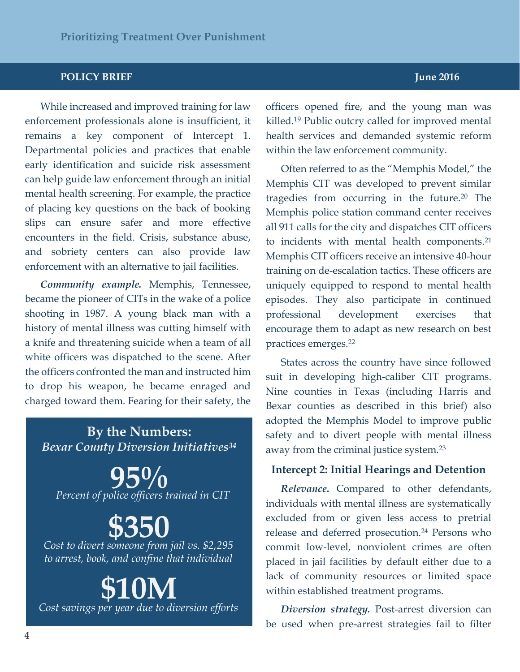#### **POLICY BRIEF JUNEAU ACCORD <b>TELESCOPE IN EXAMPLE 2016 JUNE**

While increased and improved training for law enforcement professionals alone is insufficient, it remains a key component of Intercept 1. Departmental policies and practices that enable early identification and suicide risk assessment can help guide law enforcement through an initial mental health screening. For example, the practice of placing key questions on the back of booking slips can ensure safer and more effective encounters in the field. Crisis, substance abuse, and sobriety centers can also provide law enforcement with an alternative to jail facilities.

*Community example.* Memphis, Tennessee, became the pioneer of CITs in the wake of a police shooting in 1987. A young black man with a history of mental illness was cutting himself with a knife and threatening suicide when a team of all white officers was dispatched to the scene. After the officers confronted the man and instructed him to drop his weapon, he became enraged and charged toward them. Fearing for their safety, the

### *- Ipsum Bexar County Diversion Initiatives34* **By the Numbers:**

**95%** *Percent of police officers trained in CIT*

# **\$350**

*Cost to divert someone from jail vs. \$2,295 to arrest, book, and confine that individual*

**\$10M** *Cost savings per year due to diversion efforts* officers opened fire, and the young man was killed.19 Public outcry called for improved mental health services and demanded systemic reform within the law enforcement community.

Often referred to as the "Memphis Model," the Memphis CIT was developed to prevent similar tragedies from occurring in the future.20 The Memphis police station command center receives all 911 calls for the city and dispatches CIT officers to incidents with mental health components.<sup>21</sup> Memphis CIT officers receive an intensive 40-hour training on de-escalation tactics. These officers are uniquely equipped to respond to mental health episodes. They also participate in continued professional development exercises that encourage them to adapt as new research on best practices emerges.22

States across the country have since followed suit in developing high-caliber CIT programs. Nine counties in Texas (including Harris and Bexar counties as described in this brief) also adopted the Memphis Model to improve public safety and to divert people with mental illness away from the criminal justice system.23

#### **Intercept 2: Initial Hearings and Detention**

*Relevance***.** Compared to other defendants, individuals with mental illness are systematically excluded from or given less access to pretrial release and deferred prosecution.<sup>24</sup> Persons who commit low-level, nonviolent crimes are often placed in jail facilities by default either due to a lack of community resources or limited space within established treatment programs.

*Diversion strategy.* Post-arrest diversion can be used when pre-arrest strategies fail to filter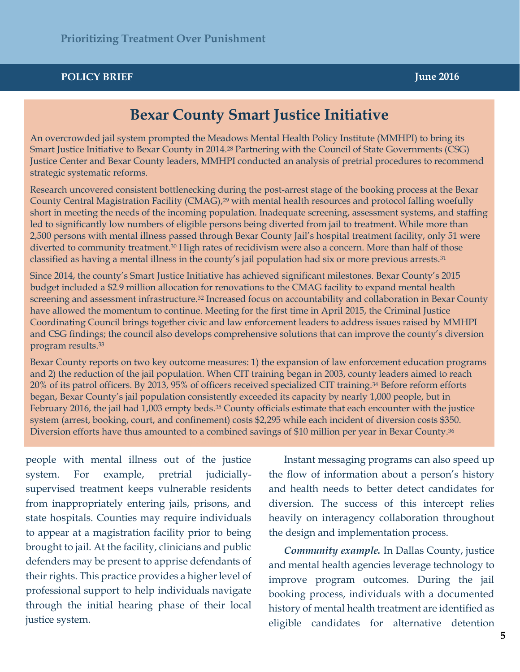#### **POLICY BRIEF POLICY BRIEF June 2016**

### **Bexar County Smart Justice Initiative**

An overcrowded jail system prompted the Meadows Mental Health Policy Institute (MMHPI) to bring its Smart Justice Initiative to Bexar County in 2014.28 Partnering with the Council of State Governments (CSG) Justice Center and Bexar County leaders, MMHPI conducted an analysis of pretrial procedures to recommend strategic systematic reforms.

Research uncovered consistent bottlenecking during the post-arrest stage of the booking process at the Bexar County Central Magistration Facility (CMAG),<sup>29</sup> with mental health resources and protocol falling woefully short in meeting the needs of the incoming population. Inadequate screening, assessment systems, and staffing led to significantly low numbers of eligible persons being diverted from jail to treatment. While more than 2,500 persons with mental illness passed through Bexar County Jail's hospital treatment facility, only 51 were diverted to community treatment.<sup>30</sup> High rates of recidivism were also a concern. More than half of those classified as having a mental illness in the county's jail population had six or more previous arrests.<sup>31</sup>

Since 2014, the county's Smart Justice Initiative has achieved significant milestones. Bexar County's 2015 budget included a \$2.9 million allocation for renovations to the CMAG facility to expand mental health screening and assessment infrastructure.<sup>32</sup> Increased focus on accountability and collaboration in Bexar County have allowed the momentum to continue. Meeting for the first time in April 2015, the Criminal Justice Coordinating Council brings together civic and law enforcement leaders to address issues raised by MMHPI and CSG findings; the council also develops comprehensive solutions that can improve the county's diversion program results.33

Diversion efforts have thus amounted to a combined savings of \$10 million per year in Bexar County.<sup>36</sup> Bexar County reports on two key outcome measures: 1) the expansion of law enforcement education programs and 2) the reduction of the jail population. When CIT training began in 2003, county leaders aimed to reach 20% of its patrol officers. By 2013, 95% of officers received specialized CIT training.34 Before reform efforts began, Bexar County's jail population consistently exceeded its capacity by nearly 1,000 people, but in February 2016, the jail had 1,003 empty beds.35 County officials estimate that each encounter with the justice system (arrest, booking, court, and confinement) costs \$2,295 while each incident of diversion costs \$350.

people with mental illness out of the justice system. supervised treatment keeps vulnerable residents from inappropriately entering jails, prisons, and state hospitals. Counties may require individuals to appear at a magistration facility prior to being brought to jail. At the facility, clinicians and public defenders may be present to apprise defendants of their rights. This practice provides a higher level of professional support to help individuals navigate through the initial hearing phase of their local For example, pretrial judiciallyjustice system.

es

Instant messaging programs can also speed up the flow of information about a person's history and health needs to better detect candidates for diversion. The success of this intercept relies heavily on interagency collaboration throughout the design and implementation process.

*Community example.* In Dallas County, justice and mental health agencies leverage technology to improve program outcomes. During the jail booking process, individuals with a documented history of mental health treatment are identified as eligible candidates for alternative detention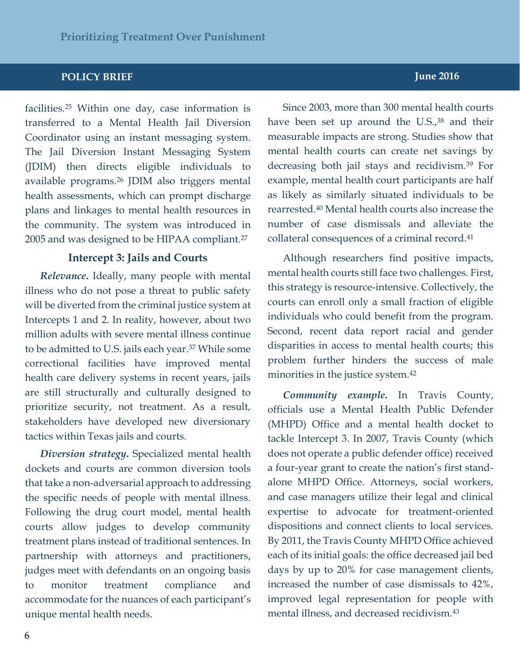facilities.25 Within one day, case information is transferred to a Mental Health Jail Diversion Coordinator using an instant messaging system. The Jail Diversion Instant Messaging System (JDIM) then directs eligible individuals to available programs.26 JDIM also triggers mental health assessments, which can prompt discharge plans and linkages to mental health resources in the community. The system was introduced in 2005 and was designed to be HIPAA compliant.27

#### **Intercept 3: Jails and Courts**

*Relevance***.** Ideally, many people with mental illness who do not pose a threat to public safety will be diverted from the criminal justice system at Intercepts 1 and 2. In reality, however, about two million adults with severe mental illness continue to be admitted to U.S. jails each year.37 While some correctional facilities have improved mental health care delivery systems in recent years, jails are still structurally and culturally designed to prioritize security, not treatment. As a result, stakeholders have developed new diversionary tactics within Texas jails and courts.

*Diversion strategy***.** Specialized mental health dockets and courts are common diversion tools that take a non-adversarial approach to addressing the specific needs of people with mental illness. Following the drug court model, mental health courts allow judges to develop community treatment plans instead of traditional sentences. In partnership with attorneys and practitioners, judges meet with defendants on an ongoing basis to monitor treatment compliance and accommodate for the nuances of each participant's unique mental health needs.

Since 2003, more than 300 mental health courts have been set up around the U.S.,<sup>38</sup> and their measurable impacts are strong. Studies show that mental health courts can create net savings by decreasing both jail stays and recidivism.39 For example, mental health court participants are half as likely as similarly situated individuals to be rearrested.40 Mental health courts also increase the number of case dismissals and alleviate the collateral consequences of a criminal record.41

Although researchers find positive impacts, mental health courts still face two challenges. First, this strategy is resource-intensive. Collectively, the courts can enroll only a small fraction of eligible individuals who could benefit from the program. Second, recent data report racial and gender disparities in access to mental health courts; this problem further hinders the success of male minorities in the justice system.42

*Community example***.** In Travis County, officials use a Mental Health Public Defender (MHPD) Office and a mental health docket to tackle Intercept 3. In 2007, Travis County (which does not operate a public defender office) received a four-year grant to create the nation's first standalone MHPD Office. Attorneys, social workers, and case managers utilize their legal and clinical expertise to advocate for treatment-oriented dispositions and connect clients to local services. By 2011, the Travis County MHPD Office achieved each of its initial goals: the office decreased jail bed days by up to 20% for case management clients, increased the number of case dismissals to 42%, improved legal representation for people with mental illness, and decreased recidivism.43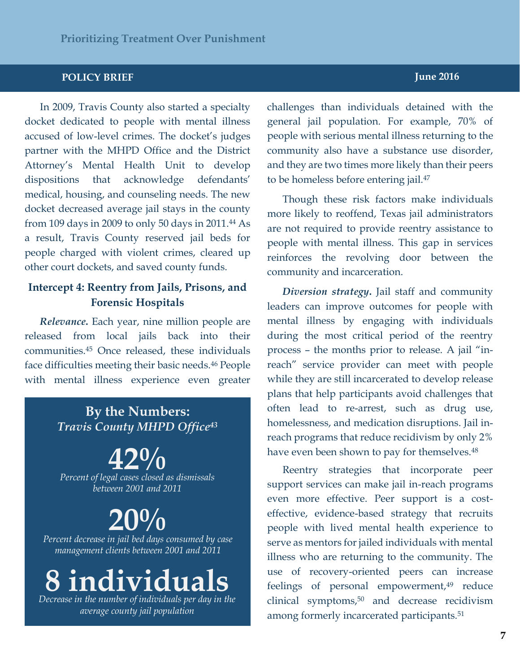#### **POLICY BRIEF June 2016 POLICY BRIEF June 2016**

In 2009, Travis County also started a specialty docket dedicated to people with mental illness or low<br>with  $\frac{1}{s}$ dispositions that acknowledge defendants' medical, housing, and counseling needs. The new In 2009, Travis County also started a specialty accused of low-level crimes. The docket's judges partner with the MHPD Office and the District Attorney's Mental Health Unit to develop dispositions that acknowledge defendants' docket decreased average jail stays in the county from 109 days in 2009 to only 50 days in 2011.44 As a result, Travis County reserved jail beds for people charged with violent crimes, cleared up other court dockets, and saved county funds.

### **Intercept 4: Reentry from Jails, Prisons, and Forensic Hospitals**

*Relevance***.** Each year, nine million people are released from local jails back into their communities.45 Once released, these individuals face difficulties meeting their basic needs.46 People with mental illness experience even greater

### **By the Numbers:** *Travis County MHPD Office43*

**42%** *Percent of legal cases closed as dismissals between 2001 and 2011*

**20%** *Percent decrease in jail bed days consumed by case* 

*management clients between 2001 and 2011*

# **8 individuals**

*Decrease in the number of individuals per day in the average county jail population*

challenges than individuals detained with the general jail population. For example, 70% of people with serious mental illness returning to the community also have a substance use disorder, and they are two times more likely than their peers to be homeless before entering jail.47

Though these risk factors make individuals more likely to reoffend, Texas jail administrators are not required to provide reentry assistance to people with mental illness. This gap in services reinforces the revolving door between the community and incarceration.

*Diversion strategy***.** Jail staff and community leaders can improve outcomes for people with mental illness by engaging with individuals during the most critical period of the reentry process – the months prior to release. A jail "inreach" service provider can meet with people while they are still incarcerated to develop release plans that help participants avoid challenges that often lead to re-arrest, such as drug use, homelessness, and medication disruptions. Jail inreach programs that reduce recidivism by only 2% have even been shown to pay for themselves.<sup>48</sup>

Reentry strategies that incorporate peer support services can make jail in-reach programs even more effective. Peer support is a costeffective, evidence-based strategy that recruits people with lived mental health experience to serve as mentors for jailed individuals with mental illness who are returning to the community. The use of recovery-oriented peers can increase feelings of personal empowerment,<sup>49</sup> reduce clinical symptoms,<sup>50</sup> and decrease recidivism among formerly incarcerated participants.<sup>51</sup>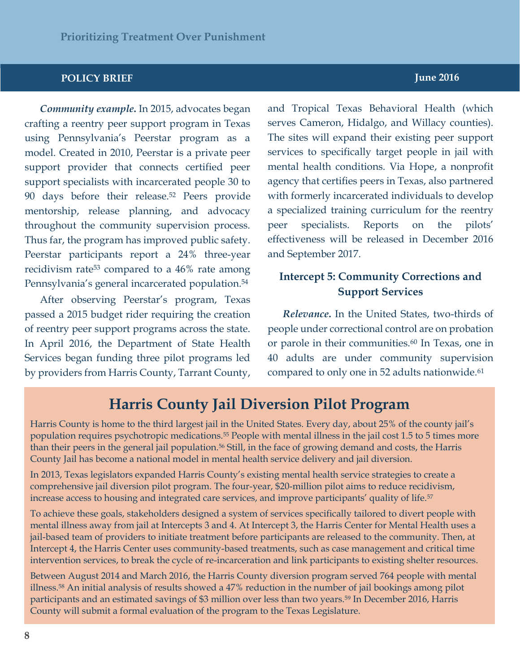#### **POLICY BRIEF JUNE 2016**

*Community example***.** In 2015, advocates began crafting a reentry peer support program in Texas using Pennsylvania's Peerstar program as a model. Created in 2010, Peerstar is a private peer support provider that connects certified peer support specialists with incarcerated people 30 to 90 days before their release.52 Peers provide mentorship, release planning, and advocacy throughout the community supervision process. Thus far, the program has improved public safety. Peerstar participants report a 24% three-year recidivism rate53 compared to a 46% rate among Pennsylvania's general incarcerated population.54

After observing Peerstar's program, Texas passed a 2015 budget rider requiring the creation of reentry peer support programs across the state. In April 2016, the Department of State Health Services began funding three pilot programs led by providers from Harris County, Tarrant County,

### and Tropical Texas Behavioral Health (which serves Cameron, Hidalgo, and Willacy counties). The sites will expand their existing peer support services to specifically target people in jail with mental health conditions. Via Hope, a nonprofit agency that certifies peers in Texas, also partnered with formerly incarcerated individuals to develop a specialized training curriculum for the reentry peer specialists. Reports on the pilots' effectiveness will be released in December 2016 and September 2017.

### **Intercept 5: Community Corrections and Support Services**

*Relevance***.** In the United States, two-thirds of people under correctional control are on probation or parole in their communities.<sup>60</sup> In Texas, one in 40 adults are under community supervision compared to only one in 52 adults nationwide.<sup>61</sup>

## **Harris County Jail Diversion Pilot Program**

Harris County is home to the third largest jail in the United States. Every day, about 25% of the county jail's population requires psychotropic medications.55 People with mental illness in the jail cost 1.5 to 5 times more than their peers in the general jail population.<sup>56</sup> Still, in the face of growing demand and costs, the Harris County Jail has become a national model in mental health service delivery and jail diversion.

In 2013, Texas legislators expanded Harris County's existing mental health service strategies to create a comprehensive jail diversion pilot program. The four-year, \$20-million pilot aims to reduce recidivism, increase access to housing and integrated care services, and improve participants' quality of life.<sup>57</sup>

To achieve these goals, stakeholders designed a system of services specifically tailored to divert people with mental illness away from jail at Intercepts 3 and 4. At Intercept 3, the Harris Center for Mental Health uses a jail-based team of providers to initiate treatment before participants are released to the community. Then, at Intercept 4, the Harris Center uses community-based treatments, such as case management and critical time intervention services, to break the cycle of re-incarceration and link participants to existing shelter resources.

Between August 2014 and March 2016, the Harris County diversion program served 764 people with mental illness.58 An initial analysis of results showed a 47% reduction in the number of jail bookings among pilot participants and an estimated savings of \$3 million over less than two years.59 In December 2016, Harris County will submit a formal evaluation of the program to the Texas Legislature.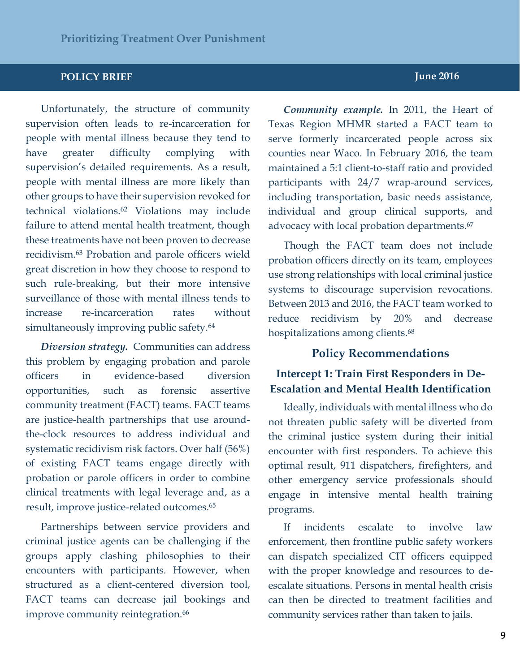Unfortunately, the structure of community supervision often leads to re-incarceration for people with mental illness because they tend to have greater difficulty complying with supervision's detailed requirements. As a result, people with mental illness are more likely than other groups to have their supervision revoked for technical violations.62 Violations may include failure to attend mental health treatment, though these treatments have not been proven to decrease recidivism.63 Probation and parole officers wield great discretion in how they choose to respond to such rule-breaking, but their more intensive surveillance of those with mental illness tends to increase re-incarceration rates without simultaneously improving public safety.<sup>64</sup>

*Diversion strategy.* Communities can address this problem by engaging probation and parole officers in evidence-based diversion opportunities, such as forensic assertive community treatment (FACT) teams. FACT teams are justice-health partnerships that use aroundthe-clock resources to address individual and systematic recidivism risk factors. Over half (56%) of existing FACT teams engage directly with probation or parole officers in order to combine clinical treatments with legal leverage and, as a result, improve justice-related outcomes.65

Partnerships between service providers and criminal justice agents can be challenging if the groups apply clashing philosophies to their encounters with participants. However, when structured as a client-centered diversion tool, FACT teams can decrease jail bookings and improve community reintegration.<sup>66</sup>

*Community example.* In 2011, the Heart of Texas Region MHMR started a FACT team to serve formerly incarcerated people across six counties near Waco. In February 2016, the team maintained a 5:1 client-to-staff ratio and provided participants with 24/7 wrap-around services, including transportation, basic needs assistance, individual and group clinical supports, and advocacy with local probation departments.<sup>67</sup>

Though the FACT team does not include probation officers directly on its team, employees use strong relationships with local criminal justice systems to discourage supervision revocations. Between 2013 and 2016, the FACT team worked to reduce recidivism by 20% and decrease hospitalizations among clients.<sup>68</sup>

#### **Policy Recommendations**

### **Intercept 1: Train First Responders in De-Escalation and Mental Health Identification**

Ideally, individuals with mental illness who do not threaten public safety will be diverted from the criminal justice system during their initial encounter with first responders. To achieve this optimal result, 911 dispatchers, firefighters, and other emergency service professionals should engage in intensive mental health training programs.

If incidents escalate to involve law enforcement, then frontline public safety workers can dispatch specialized CIT officers equipped with the proper knowledge and resources to deescalate situations. Persons in mental health crisis can then be directed to treatment facilities and community services rather than taken to jails.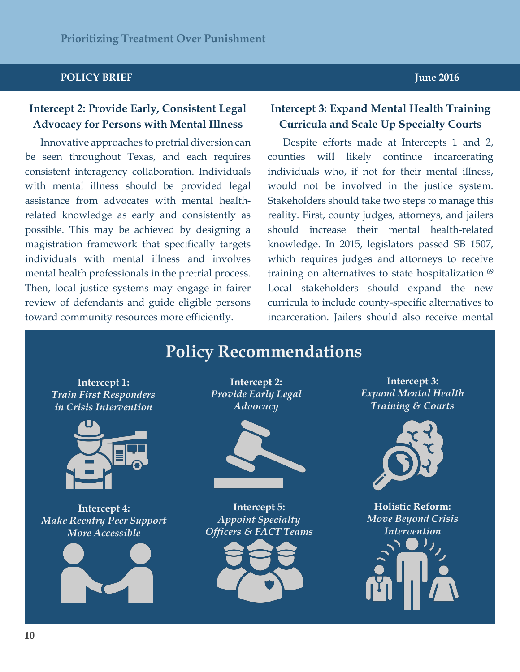#### **POLICY BRIEF JUNE 2016**

### **Intercept 2: Provide Early, Consistent Legal Advocacy for Persons with Mental Illness**

Innovative approaches to pretrial diversion can be seen throughout Texas, and each requires consistent interagency collaboration. Individuals with mental illness should be provided legal assistance from advocates with mental healthrelated knowledge as early and consistently as possible. This may be achieved by designing a magistration framework that specifically targets individuals with mental illness and involves mental health professionals in the pretrial process. Then, local justice systems may engage in fairer review of defendants and guide eligible persons toward community resources more efficiently.

### **Intercept 3: Expand Mental Health Training Curricula and Scale Up Specialty Courts**

Despite efforts made at Intercepts 1 and 2, counties will likely continue incarcerating individuals who, if not for their mental illness, would not be involved in the justice system. Stakeholders should take two steps to manage this reality. First, county judges, attorneys, and jailers should increase their mental health-related knowledge. In 2015, legislators passed SB 1507, which requires judges and attorneys to receive training on alternatives to state hospitalization.<sup>69</sup> Local stakeholders should expand the new curricula to include county-specific alternatives to incarceration. Jailers should also receive mental

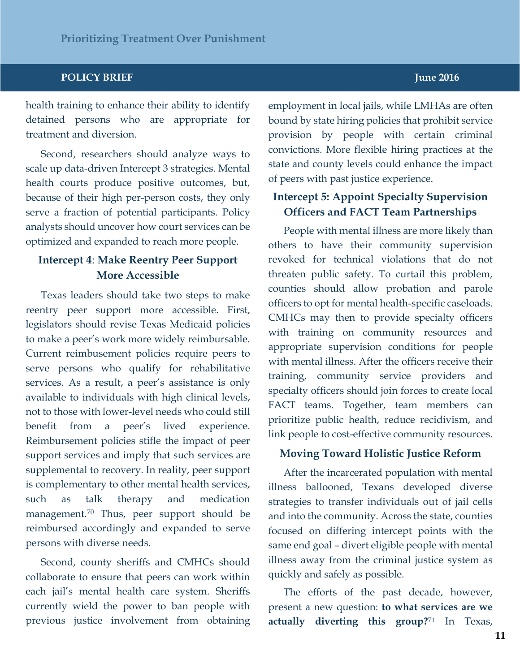#### **POLICY BRIEF JUNE 2016**

health training to enhance their ability to identify detained persons who are appropriate for treatment and diversion.

Second, researchers should analyze ways to scale up data-driven Intercept 3 strategies. Mental health courts produce positive outcomes, but, because of their high per-person costs, they only serve a fraction of potential participants. Policy analysts should uncover how court services can be optimized and expanded to reach more people.

#### **Intercept 4**: **Make Reentry Peer Support More Accessible**

Texas leaders should take two steps to make reentry peer support more accessible. First, legislators should revise Texas Medicaid policies to make a peer's work more widely reimbursable. Current reimbusement policies require peers to serve persons who qualify for rehabilitative services. As a result, a peer's assistance is only available to individuals with high clinical levels, not to those with lower-level needs who could still benefit from a peer's lived experience. Reimbursement policies stifle the impact of peer support services and imply that such services are supplemental to recovery. In reality, peer support is complementary to other mental health services, such as talk therapy and medication management. <sup>70</sup> Thus, peer support should be reimbursed accordingly and expanded to serve persons with diverse needs.

Second, county sheriffs and CMHCs should collaborate to ensure that peers can work within each jail's mental health care system. Sheriffs currently wield the power to ban people with previous justice involvement from obtaining

employment in local jails, while LMHAs are often bound by state hiring policies that prohibit service provision by people with certain criminal convictions. More flexible hiring practices at the state and county levels could enhance the impact of peers with past justice experience.

### **Intercept 5: Appoint Specialty Supervision Officers and FACT Team Partnerships**

People with mental illness are more likely than others to have their community supervision revoked for technical violations that do not threaten public safety. To curtail this problem, counties should allow probation and parole officers to opt for mental health-specific caseloads. CMHCs may then to provide specialty officers with training on community resources and appropriate supervision conditions for people with mental illness. After the officers receive their training, community service providers and specialty officers should join forces to create local FACT teams. Together, team members can prioritize public health, reduce recidivism, and link people to cost-effective community resources.

#### **Moving Toward Holistic Justice Reform**

After the incarcerated population with mental illness ballooned, Texans developed diverse strategies to transfer individuals out of jail cells and into the community. Across the state, counties focused on differing intercept points with the same end goal – divert eligible people with mental illness away from the criminal justice system as quickly and safely as possible.

The efforts of the past decade, however, present a new question: **to what services are we actually diverting this group?**<sup>71</sup> In Texas,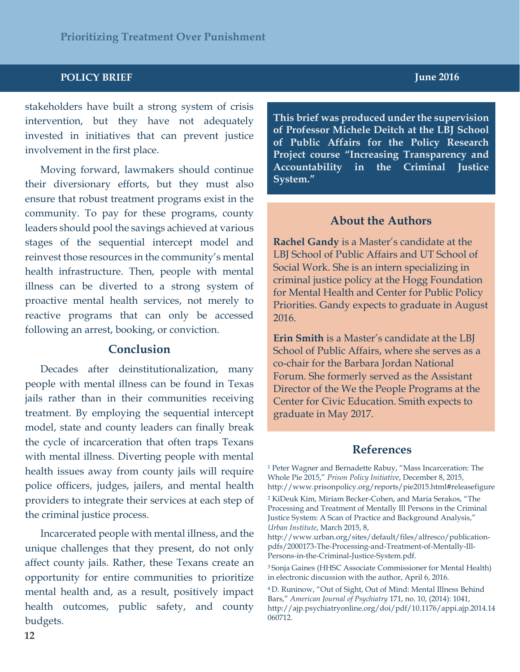stakeholders have built a strong system of crisis intervention, but they have not adequately invested in initiatives that can prevent justice involvement in the first place.

Moving forward, lawmakers should continue their diversionary efforts, but they must also ensure that robust treatment programs exist in the community. To pay for these programs, county leaders should pool the savings achieved at various stages of the sequential intercept model and reinvest those resources in the community's mental health infrastructure. Then, people with mental illness can be diverted to a strong system of proactive mental health services, not merely to reactive programs that can only be accessed following an arrest, booking, or conviction.

#### **Conclusion**

Decades after deinstitutionalization, many people with mental illness can be found in Texas jails rather than in their communities receiving treatment. By employing the sequential intercept model, state and county leaders can finally break the cycle of incarceration that often traps Texans with mental illness. Diverting people with mental health issues away from county jails will require police officers, judges, jailers, and mental health providers to integrate their services at each step of the criminal justice process.

Incarcerated people with mental illness, and the unique challenges that they present, do not only affect county jails. Rather, these Texans create an opportunity for entire communities to prioritize mental health and, as a result, positively impact health outcomes, public safety, and county budgets.

**This brief was produced under the supervision of Professor Michele Deitch at the LBJ School of Public Affairs for the Policy Research Project course "Increasing Transparency and Accountability in the Criminal Justice System."**

#### **About the Authors**

**Rachel Gandy** is a Master's candidate at the LBJ School of Public Affairs and UT School of Social Work. She is an intern specializing in criminal justice policy at the Hogg Foundation for Mental Health and Center for Public Policy Priorities. Gandy expects to graduate in August 2016.

**Erin Smith** is a Master's candidate at the LBJ School of Public Affairs, where she serves as a co-chair for the Barbara Jordan National Forum. She formerly served as the Assistant Director of the We the People Programs at the Center for Civic Education. Smith expects to graduate in May 2017.

#### **References**

<sup>1</sup> Peter Wagner and Bernadette Rabuy, "Mass Incarceration: The Whole Pie 2015," *Prison Policy Initiative*, December 8, 2015, <http://www.prisonpolicy.org/reports/pie2015.html#releasefigure>

<sup>2</sup> KiDeuk Kim, Miriam Becker-Cohen, and Maria Serakos, "The Processing and Treatment of Mentally Ill Persons in the Criminal Justice System: A Scan of Practice and Background Analysis," *Urban Institute*, March 2015, 8,

[http://www.urban.org/sites/default/files/alfresco/publication](http://www.urban.org/sites/default/files/alfresco/publication-pdfs/2000173-The-Processing-and-Treatment-of-Mentally-Ill-Persons-in-the-Criminal-Justice-System.pdf)[pdfs/2000173-The-Processing-and-Treatment-of-Mentally-Ill-](http://www.urban.org/sites/default/files/alfresco/publication-pdfs/2000173-The-Processing-and-Treatment-of-Mentally-Ill-Persons-in-the-Criminal-Justice-System.pdf)[Persons-in-the-Criminal-Justice-System.pdf.](http://www.urban.org/sites/default/files/alfresco/publication-pdfs/2000173-The-Processing-and-Treatment-of-Mentally-Ill-Persons-in-the-Criminal-Justice-System.pdf)

3 Sonja Gaines (HHSC Associate Commissioner for Mental Health) in electronic discussion with the author, April 6, 2016.

<sup>4</sup>D. Runinow, "Out of Sight, Out of Mind: Mental Illness Behind Bars," *American Journal of Psychiatry* 171, no. 10, (2014): 1041, [http://ajp.psychiatryonline.org/doi/pdf/10.1176/appi.ajp.2014.14](http://ajp.psychiatryonline.org/doi/pdf/10.1176/appi.ajp.2014.14060712) [060712.](http://ajp.psychiatryonline.org/doi/pdf/10.1176/appi.ajp.2014.14060712)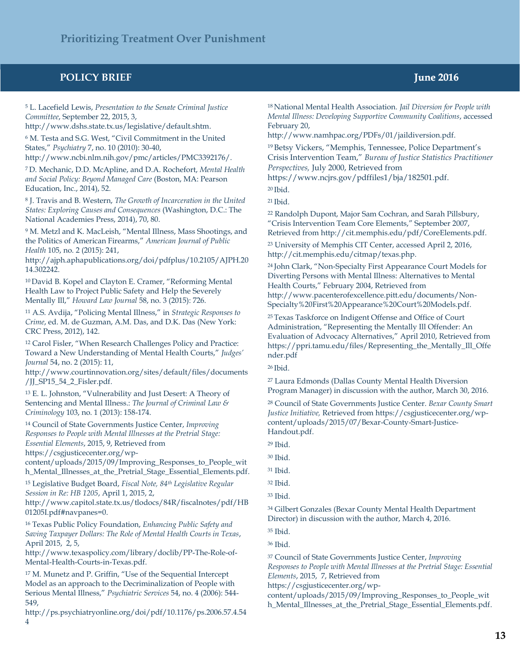<sup>5</sup> L. Lacefield Lewis, *Presentation to the Senate Criminal Justice Committee*, September 22, 2015, 3,

[http://www.dshs.state.tx.us/legislative/default.shtm.](http://www.dshs.state.tx.us/legislative/default.shtm)

<sup>6</sup> M. Testa and S.G. West, "Civil Commitment in the United States," *Psychiatry* 7, no. 10 (2010): 30-40,

http://www.ncbi.nlm.nih.gov/pmc/articles/PMC3392176/.

7 D. Mechanic, D.D. McApline, and D.A. Rochefort, *Mental Health and Social Policy: Beyond Managed Care* (Boston, MA: Pearson Education, Inc., 2014), 52.

<sup>8</sup> J. Travis and B. Western, *The Growth of Incarceration in the United States: Exploring Causes and Consequences* (Washington, D.C.: The National Academies Press, 2014), 70, 80.

<sup>9</sup> M. Metzl and K. MacLeish, "Mental Illness, Mass Shootings, and the Politics of American Firearms," *American Journal of Public Health* 105, no. 2 (2015): 241,

[http://ajph.aphapublications.org/doi/pdfplus/10.2105/AJPH.20](http://ajph.aphapublications.org/doi/pdfplus/10.2105/AJPH.2014.302242) [14.302242.](http://ajph.aphapublications.org/doi/pdfplus/10.2105/AJPH.2014.302242)

<sup>10</sup>David B. Kopel and Clayton E. Cramer, "Reforming Mental Health Law to Project Public Safety and Help the Severely Mentally Ill," *Howard Law Journal* 58, no. 3 (2015): 726.

<sup>11</sup> A.S. Avdija, "Policing Mental Illness," in *Strategic Responses to Crime*, ed. M. de Guzman, A.M. Das, and D.K. Das (New York: CRC Press, 2012), 142.

<sup>12</sup> Carol Fisler, "When Research Challenges Policy and Practice: Toward a New Understanding of Mental Health Courts," *Judges' Journal* 54, no. 2 (2015): 11,

[http://www.courtinnovation.org/sites/default/files/documents](http://www.courtinnovation.org/sites/default/files/documents/JJ_SP15_54_2_Fisler.pdf) [/JJ\\_SP15\\_54\\_2\\_Fisler.pdf.](http://www.courtinnovation.org/sites/default/files/documents/JJ_SP15_54_2_Fisler.pdf)

<sup>13</sup> E. L. Johnston, "Vulnerability and Just Desert: A Theory of Sentencing and Mental Illness.: *The Journal of Criminal Law & Criminology* 103, no. 1 (2013): 158-174.

<sup>14</sup> Council of State Governments Justice Center, *Improving Responses to People with Mental Illnesses at the Pretrial Stage: Essential Elements*, 2015, 9, Retrieved from [https://csgjusticecenter.org/wp-](https://csgjusticecenter.org/wp-content/uploads/2015/09/Improving_Responses_to_People_with_Mental_Illnesses_at_the_Pretrial_Stage_Essential_Elements.pdf)

[content/uploads/2015/09/Improving\\_Responses\\_to\\_People\\_wit](https://csgjusticecenter.org/wp-content/uploads/2015/09/Improving_Responses_to_People_with_Mental_Illnesses_at_the_Pretrial_Stage_Essential_Elements.pdf) [h\\_Mental\\_Illnesses\\_at\\_the\\_Pretrial\\_Stage\\_Essential\\_Elements.pdf.](https://csgjusticecenter.org/wp-content/uploads/2015/09/Improving_Responses_to_People_with_Mental_Illnesses_at_the_Pretrial_Stage_Essential_Elements.pdf)

<sup>15</sup> Legislative Budget Board, *Fiscal Note, 84th Legislative Regular Session in Re: HB 1205*, April 1, 2015, 2,

[http://www.capitol.state.tx.us/tlodocs/84R/fiscalnotes/pdf/HB](http://www.capitol.state.tx.us/tlodocs/84R/fiscalnotes/pdf/HB01205I.pdf#navpanes=0) [01205I.pdf#navpanes=0.](http://www.capitol.state.tx.us/tlodocs/84R/fiscalnotes/pdf/HB01205I.pdf#navpanes=0)

<sup>16</sup> Texas Public Policy Foundation, *Enhancing Public Safety and Saving Taxpayer Dollars: The Role of Mental Health Courts in Texas*, April 2015, 2, 5,

[http://www.texaspolicy.com/library/doclib/PP-The-Role-of-](http://www.texaspolicy.com/library/doclib/PP-The-Role-of-Mental-Health-Courts-in-Texas.pdf)[Mental-Health-Courts-in-Texas.pdf.](http://www.texaspolicy.com/library/doclib/PP-The-Role-of-Mental-Health-Courts-in-Texas.pdf)

<sup>17</sup> M. Munetz and P. Griffin, "Use of the Sequential Intercept Model as an approach to the Decriminalization of People with Serious Mental Illness," *Psychiatric Services* 54, no. 4 (2006): 544- 549,

[http://ps.psychiatryonline.org/doi/pdf/10.1176/ps.2006.57.4.54](http://ps.psychiatryonline.org/doi/pdf/10.1176/ps.2006.57.4.544) [4](http://ps.psychiatryonline.org/doi/pdf/10.1176/ps.2006.57.4.544)

18 National Mental Health Association. *Jail Diversion for People with Mental Illness: Developing Supportive Community Coalitions*, accessed February 20,

[http://www.namhpac.org/PDFs/01/jaildiversion.pdf.](http://www.namhpac.org/PDFs/01/jaildiversion.pdf) 

<sup>19</sup>Betsy Vickers, "Memphis, Tennessee, Police Department's Crisis Intervention Team," *Bureau of Justice Statistics Practitioner Perspectives,* July 2000, Retrieved from

[https://www.ncjrs.gov/pdffiles1/bja/182501.pdf.](https://www.ncjrs.gov/pdffiles1/bja/182501.pdf) 

 $20$  Ibid.

21 Ibid.

<sup>22</sup> Randolph Dupont, Major Sam Cochran, and Sarah Pillsbury, "Crisis Intervention Team Core Elements," September 2007, Retrieved from [http://cit.memphis.edu/pdf/CoreElements.pdf.](http://cit.memphis.edu/pdf/CoreElements.pdf)

<sup>23</sup> University of Memphis CIT Center, accessed April 2, 2016, [http://cit.memphis.edu/citmap/texas.php.](http://cit.memphis.edu/citmap/texas.php) 

<sup>24</sup>John Clark, "Non-Specialty First Appearance Court Models for Diverting Persons with Mental Illness: Alternatives to Mental Health Courts," February 2004, Retrieved from [http://www.pacenterofexcellence.pitt.edu/documents/Non-](http://www.pacenterofexcellence.pitt.edu/documents/Non-Specialty%20First%20Appearance%20Court%20Models.pdf)[Specialty%20First%20Appearance%20Court%20Models.pdf.](http://www.pacenterofexcellence.pitt.edu/documents/Non-Specialty%20First%20Appearance%20Court%20Models.pdf)

25 Texas Taskforce on Indigent Offense and Office of Court Administration, "Representing the Mentally Ill Offender: An Evaluation of Advocacy Alternatives," April 2010, Retrieved from [https://ppri.tamu.edu/files/Representing\\_the\\_Mentally\\_Ill\\_Offe](https://ppri.tamu.edu/files/Representing_the_Mentally_Ill_Offender.pdf) [nder.pdf](https://ppri.tamu.edu/files/Representing_the_Mentally_Ill_Offender.pdf)

26 Ibid.

<sup>27</sup> Laura Edmonds (Dallas County Mental Health Diversion Program Manager) in discussion with the author, March 30, 2016.

<sup>28</sup> Council of State Governments Justice Center. *Bexar County Smart Justice Initiative,* Retrieved from [https://csgjusticecenter.org/wp](https://csgjusticecenter.org/wp-content/uploads/2015/07/Bexar-County-Smart-Justice-Handout.pdf)[content/uploads/2015/07/Bexar-County-Smart-Justice-](https://csgjusticecenter.org/wp-content/uploads/2015/07/Bexar-County-Smart-Justice-Handout.pdf)[Handout.pdf.](https://csgjusticecenter.org/wp-content/uploads/2015/07/Bexar-County-Smart-Justice-Handout.pdf) 

<sup>29</sup> Ibid.

<sup>30</sup> Ibid.

<sup>31</sup> Ibid.

<sup>32</sup> Ibid.

```
33 Ibid.
```
<sup>34</sup> Gilbert Gonzales (Bexar County Mental Health Department Director) in discussion with the author, March 4, 2016.

<sup>35</sup> Ibid.

<sup>36</sup> Ibid.

<sup>37</sup> Council of State Governments Justice Center, *Improving Responses to People with Mental Illnesses at the Pretrial Stage: Essential Elements*, 2015, 7, Retrieved from

[https://csgjusticecenter.org/wp-](https://csgjusticecenter.org/wp-content/uploads/2015/09/Improving_Responses_to_People_with_Mental_Illnesses_at_the_Pretrial_Stage_Essential_Elements.pdf)

[content/uploads/2015/09/Improving\\_Responses\\_to\\_People\\_wit](https://csgjusticecenter.org/wp-content/uploads/2015/09/Improving_Responses_to_People_with_Mental_Illnesses_at_the_Pretrial_Stage_Essential_Elements.pdf) h\_Mental\_Illnesses\_at\_the\_Pretrial\_Stage\_Essential\_Elements.pdf.